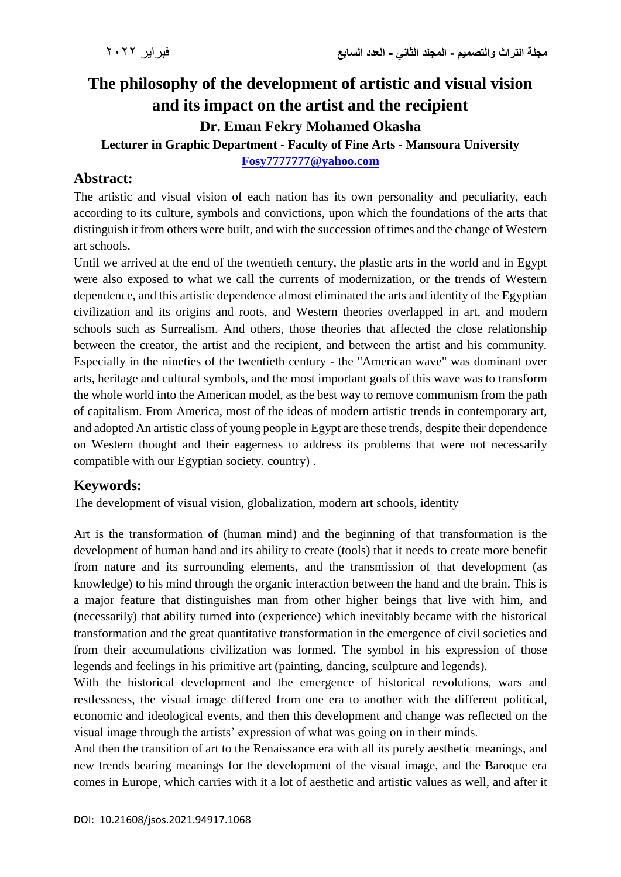# **The philosophy of the development of artistic and visual vision and its impact on the artist and the recipient Dr. Eman Fekry Mohamed Okasha**

# **Lecturer in Graphic Department - Faculty of Fine Arts - Mansoura University**

#### **[Fosy7777777@yahoo.com](mailto:Fosy7777777@yahoo.com)**

# **Abstract:**

The artistic and visual vision of each nation has its own personality and peculiarity, each according to its culture, symbols and convictions, upon which the foundations of the arts that distinguish it from others were built, and with the succession of times and the change of Western art schools.

Until we arrived at the end of the twentieth century, the plastic arts in the world and in Egypt were also exposed to what we call the currents of modernization, or the trends of Western dependence, and this artistic dependence almost eliminated the arts and identity of the Egyptian civilization and its origins and roots, and Western theories overlapped in art, and modern schools such as Surrealism. And others, those theories that affected the close relationship between the creator, the artist and the recipient, and between the artist and his community. Especially in the nineties of the twentieth century - the "American wave" was dominant over arts, heritage and cultural symbols, and the most important goals of this wave was to transform the whole world into the American model, as the best way to remove communism from the path of capitalism. From America, most of the ideas of modern artistic trends in contemporary art, and adopted An artistic class of young people in Egypt are these trends, despite their dependence on Western thought and their eagerness to address its problems that were not necessarily compatible with our Egyptian society. country) .

# **Keywords:**

The development of visual vision, globalization, modern art schools, identity

Art is the transformation of (human mind) and the beginning of that transformation is the development of human hand and its ability to create (tools) that it needs to create more benefit from nature and its surrounding elements, and the transmission of that development (as knowledge) to his mind through the organic interaction between the hand and the brain. This is a major feature that distinguishes man from other higher beings that live with him, and (necessarily) that ability turned into (experience) which inevitably became with the historical transformation and the great quantitative transformation in the emergence of civil societies and from their accumulations civilization was formed. The symbol in his expression of those legends and feelings in his primitive art (painting, dancing, sculpture and legends).

With the historical development and the emergence of historical revolutions, wars and restlessness, the visual image differed from one era to another with the different political, economic and ideological events, and then this development and change was reflected on the visual image through the artists' expression of what was going on in their minds.

And then the transition of art to the Renaissance era with all its purely aesthetic meanings, and new trends bearing meanings for the development of the visual image, and the Baroque era comes in Europe, which carries with it a lot of aesthetic and artistic values as well, and after it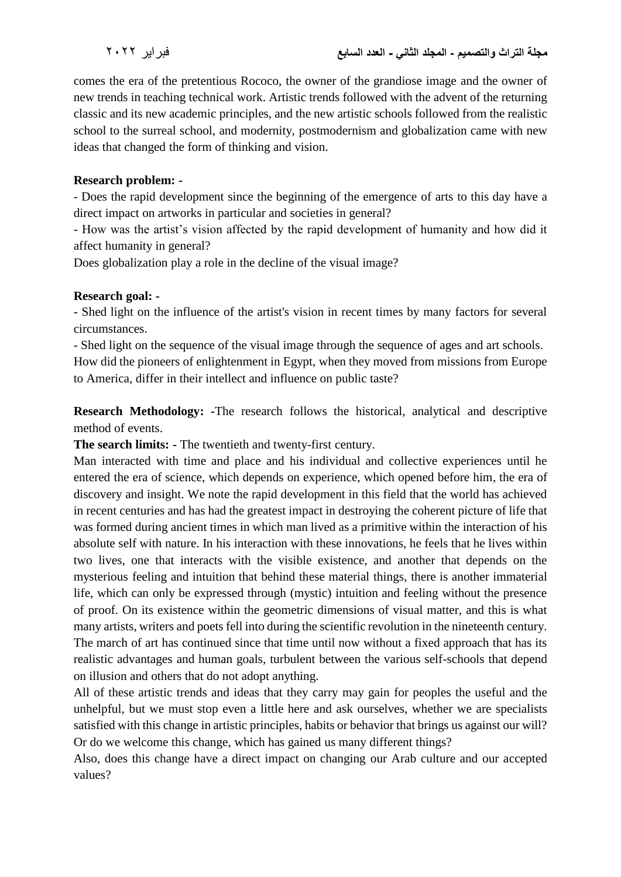comes the era of the pretentious Rococo, the owner of the grandiose image and the owner of new trends in teaching technical work. Artistic trends followed with the advent of the returning classic and its new academic principles, and the new artistic schools followed from the realistic school to the surreal school, and modernity, postmodernism and globalization came with new ideas that changed the form of thinking and vision.

#### **Research problem: -**

- Does the rapid development since the beginning of the emergence of arts to this day have a direct impact on artworks in particular and societies in general?

- How was the artist's vision affected by the rapid development of humanity and how did it affect humanity in general?

Does globalization play a role in the decline of the visual image?

#### **Research goal: -**

- Shed light on the influence of the artist's vision in recent times by many factors for several circumstances.

- Shed light on the sequence of the visual image through the sequence of ages and art schools. How did the pioneers of enlightenment in Egypt, when they moved from missions from Europe to America, differ in their intellect and influence on public taste?

**Research Methodology: -**The research follows the historical, analytical and descriptive method of events.

**The search limits: -** The twentieth and twenty-first century.

Man interacted with time and place and his individual and collective experiences until he entered the era of science, which depends on experience, which opened before him, the era of discovery and insight. We note the rapid development in this field that the world has achieved in recent centuries and has had the greatest impact in destroying the coherent picture of life that was formed during ancient times in which man lived as a primitive within the interaction of his absolute self with nature. In his interaction with these innovations, he feels that he lives within two lives, one that interacts with the visible existence, and another that depends on the mysterious feeling and intuition that behind these material things, there is another immaterial life, which can only be expressed through (mystic) intuition and feeling without the presence of proof. On its existence within the geometric dimensions of visual matter, and this is what many artists, writers and poets fell into during the scientific revolution in the nineteenth century. The march of art has continued since that time until now without a fixed approach that has its realistic advantages and human goals, turbulent between the various self-schools that depend on illusion and others that do not adopt anything.

All of these artistic trends and ideas that they carry may gain for peoples the useful and the unhelpful, but we must stop even a little here and ask ourselves, whether we are specialists satisfied with this change in artistic principles, habits or behavior that brings us against our will? Or do we welcome this change, which has gained us many different things?

Also, does this change have a direct impact on changing our Arab culture and our accepted values?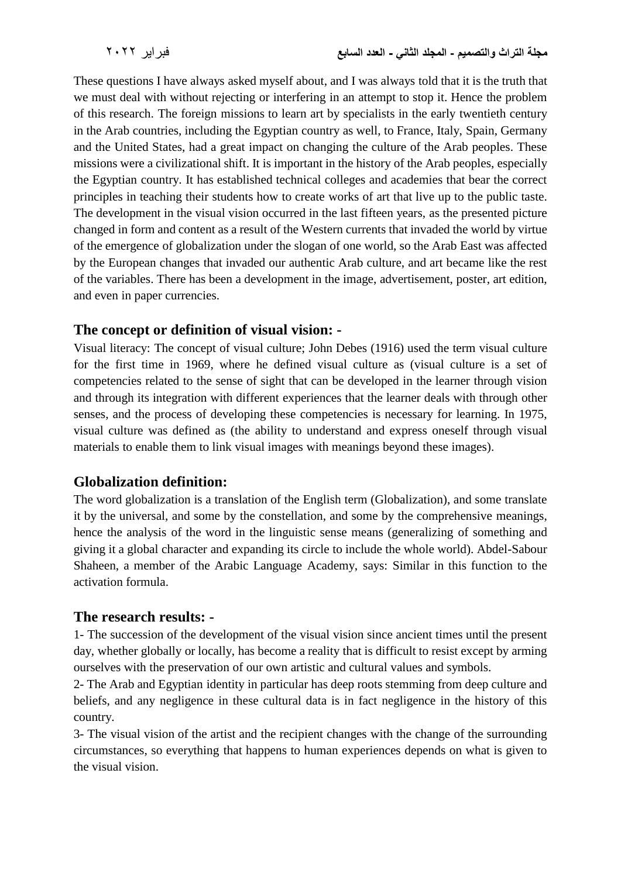These questions I have always asked myself about, and I was always told that it is the truth that we must deal with without rejecting or interfering in an attempt to stop it. Hence the problem of this research. The foreign missions to learn art by specialists in the early twentieth century in the Arab countries, including the Egyptian country as well, to France, Italy, Spain, Germany and the United States, had a great impact on changing the culture of the Arab peoples. These missions were a civilizational shift. It is important in the history of the Arab peoples, especially the Egyptian country. It has established technical colleges and academies that bear the correct principles in teaching their students how to create works of art that live up to the public taste. The development in the visual vision occurred in the last fifteen years, as the presented picture changed in form and content as a result of the Western currents that invaded the world by virtue of the emergence of globalization under the slogan of one world, so the Arab East was affected by the European changes that invaded our authentic Arab culture, and art became like the rest of the variables. There has been a development in the image, advertisement, poster, art edition, and even in paper currencies.

### **The concept or definition of visual vision: -**

Visual literacy: The concept of visual culture; John Debes (1916) used the term visual culture for the first time in 1969, where he defined visual culture as (visual culture is a set of competencies related to the sense of sight that can be developed in the learner through vision and through its integration with different experiences that the learner deals with through other senses, and the process of developing these competencies is necessary for learning. In 1975, visual culture was defined as (the ability to understand and express oneself through visual materials to enable them to link visual images with meanings beyond these images).

# **Globalization definition:**

The word globalization is a translation of the English term (Globalization), and some translate it by the universal, and some by the constellation, and some by the comprehensive meanings, hence the analysis of the word in the linguistic sense means (generalizing of something and giving it a global character and expanding its circle to include the whole world). Abdel-Sabour Shaheen, a member of the Arabic Language Academy, says: Similar in this function to the activation formula.

# **The research results: -**

1- The succession of the development of the visual vision since ancient times until the present day, whether globally or locally, has become a reality that is difficult to resist except by arming ourselves with the preservation of our own artistic and cultural values and symbols.

2- The Arab and Egyptian identity in particular has deep roots stemming from deep culture and beliefs, and any negligence in these cultural data is in fact negligence in the history of this country.

3- The visual vision of the artist and the recipient changes with the change of the surrounding circumstances, so everything that happens to human experiences depends on what is given to the visual vision.